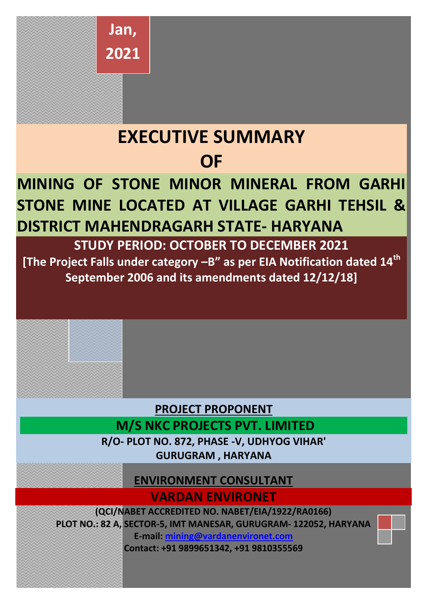

# **EXECUTIVE SUMMARY OF**

## **MINING OF STONE MINOR MINERAL FROM GARHI STONE MINE LOCATED AT VILLAGE GARHI TEHSIL & DISTRICT MAHENDRAGARH STATE- HARYANA**

**STUDY PERIOD: OCTOBER TO DECEMBER 2021**

**[The Project Falls under category –B" as per EIA Notification dated 14th September 2006 and its amendments dated 12/12/18]** 



### **ENVIRONMENT CONSULTANT VARDAN ENVIRONET**

**(QCI/NABET ACCREDITED NO. NABET/EIA/1922/RA0166) PLOT NO.: 82 A, SECTOR-5, IMT MANESAR, GURUGRAM- 122052, HARYANA E-mail: [mining@vardanenvironet.com](mailto:mining@vardanenvironet.com)**

**Contact: +91 9899651342, +91 9810355569**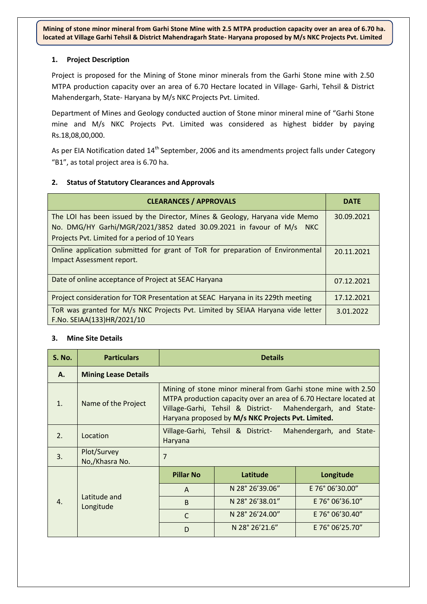#### **1. Project Description**

Project is proposed for the Mining of Stone minor minerals from the Garhi Stone mine with 2.50 MTPA production capacity over an area of 6.70 Hectare located in Village- Garhi, Tehsil & District Mahendergarh, State- Haryana by M/s NKC Projects Pvt. Limited.

Department of Mines and Geology conducted auction of Stone minor mineral mine of "Garhi Stone mine and M/s NKC Projects Pvt. Limited was considered as highest bidder by paying Rs.18,08,00,000.

As per EIA Notification dated 14<sup>th</sup> September, 2006 and its amendments project falls under Category "B1", as total project area is 6.70 ha.

#### **2. Status of Statutory Clearances and Approvals**

| <b>CLEARANCES / APPROVALS</b>                                                   | <b>DATE</b> |
|---------------------------------------------------------------------------------|-------------|
| The LOI has been issued by the Director, Mines & Geology, Haryana vide Memo     | 30.09.2021  |
| No. DMG/HY Garhi/MGR/2021/3852 dated 30.09.2021 in favour of M/s NKC            |             |
| Projects Pvt. Limited for a period of 10 Years                                  |             |
| Online application submitted for grant of ToR for preparation of Environmental  | 20.11.2021  |
| Impact Assessment report.                                                       |             |
| Date of online acceptance of Project at SEAC Haryana                            | 07.12.2021  |
| Project consideration for TOR Presentation at SEAC Haryana in its 229th meeting | 17.12.2021  |
| ToR was granted for M/s NKC Projects Pvt. Limited by SEIAA Haryana vide letter  | 3.01.2022   |
| F.No. SEIAA(133)HR/2021/10                                                      |             |

#### **3. Mine Site Details**

| <b>S. No.</b>    | <b>Particulars</b>            | <b>Details</b>   |                                                                                                                                                                                                                                                       |                 |
|------------------|-------------------------------|------------------|-------------------------------------------------------------------------------------------------------------------------------------------------------------------------------------------------------------------------------------------------------|-----------------|
| А.               | <b>Mining Lease Details</b>   |                  |                                                                                                                                                                                                                                                       |                 |
| $\mathbf{1}$ .   | Name of the Project           |                  | Mining of stone minor mineral from Garhi stone mine with 2.50<br>MTPA production capacity over an area of 6.70 Hectare located at<br>Village-Garhi, Tehsil & District- Mahendergarh, and State-<br>Haryana proposed by M/s NKC Projects Pvt. Limited. |                 |
| 2.               | Location                      | Haryana          | Village-Garhi, Tehsil & District- Mahendergarh, and State-                                                                                                                                                                                            |                 |
| 3.               | Plot/Survey<br>No,/Khasra No. | 7                |                                                                                                                                                                                                                                                       |                 |
| $\overline{4}$ . |                               | <b>Pillar No</b> | Latitude                                                                                                                                                                                                                                              | Longitude       |
|                  |                               | A                | N 28° 26'39.06"                                                                                                                                                                                                                                       | E 76° 06'30.00" |
|                  | Latitude and<br>Longitude     | B                | N 28° 26'38.01"                                                                                                                                                                                                                                       | E 76° 06'36.10" |
|                  |                               | $\mathsf{C}$     | N 28° 26' 24.00"                                                                                                                                                                                                                                      | E 76° 06'30.40" |
|                  |                               | D                | N 28° 26' 21.6"                                                                                                                                                                                                                                       | E 76° 06'25.70" |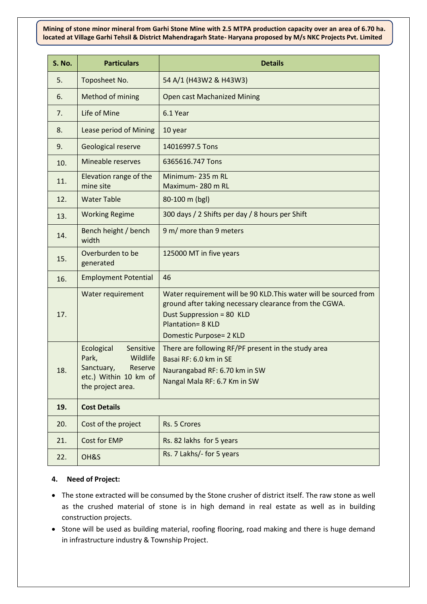| S. No. | <b>Particulars</b>                                                                                                  | <b>Details</b>                                                                                                                                                                                                  |
|--------|---------------------------------------------------------------------------------------------------------------------|-----------------------------------------------------------------------------------------------------------------------------------------------------------------------------------------------------------------|
| 5.     | Toposheet No.                                                                                                       | 54 A/1 (H43W2 & H43W3)                                                                                                                                                                                          |
| 6.     | Method of mining                                                                                                    | <b>Open cast Machanized Mining</b>                                                                                                                                                                              |
| 7.     | Life of Mine                                                                                                        | 6.1 Year                                                                                                                                                                                                        |
| 8.     | Lease period of Mining                                                                                              | 10 year                                                                                                                                                                                                         |
| 9.     | <b>Geological reserve</b>                                                                                           | 14016997.5 Tons                                                                                                                                                                                                 |
| 10.    | Mineable reserves                                                                                                   | 6365616.747 Tons                                                                                                                                                                                                |
| 11.    | Elevation range of the<br>mine site                                                                                 | Minimum-235 m RL<br>Maximum-280 m RL                                                                                                                                                                            |
| 12.    | <b>Water Table</b>                                                                                                  | 80-100 m (bgl)                                                                                                                                                                                                  |
| 13.    | <b>Working Regime</b>                                                                                               | 300 days / 2 Shifts per day / 8 hours per Shift                                                                                                                                                                 |
| 14.    | Bench height / bench<br>width                                                                                       | 9 m/ more than 9 meters                                                                                                                                                                                         |
| 15.    | Overburden to be<br>generated                                                                                       | 125000 MT in five years                                                                                                                                                                                         |
| 16.    | <b>Employment Potential</b>                                                                                         | 46                                                                                                                                                                                                              |
| 17.    | Water requirement                                                                                                   | Water requirement will be 90 KLD. This water will be sourced from<br>ground after taking necessary clearance from the CGWA.<br>Dust Suppression = 80 KLD<br><b>Plantation= 8 KLD</b><br>Domestic Purpose= 2 KLD |
| 18.    | Ecological<br>Sensitive<br>Park,<br>Wildlife<br>Sanctuary,<br>Reserve<br>etc.) Within 10 km of<br>the project area. | There are following RF/PF present in the study area<br>Basai RF: 6.0 km in SE<br>Naurangabad RF: 6.70 km in SW<br>Nangal Mala RF: 6.7 Km in SW                                                                  |
| 19.    | <b>Cost Details</b>                                                                                                 |                                                                                                                                                                                                                 |
| 20.    | Cost of the project                                                                                                 | Rs. 5 Crores                                                                                                                                                                                                    |
| 21.    | <b>Cost for EMP</b>                                                                                                 | Rs. 82 lakhs for 5 years                                                                                                                                                                                        |
| 22.    | OH&S                                                                                                                | Rs. 7 Lakhs/- for 5 years                                                                                                                                                                                       |

#### **4. Need of Project:**

- The stone extracted will be consumed by the Stone crusher of district itself. The raw stone as well as the crushed material of stone is in high demand in real estate as well as in building construction projects.
- Stone will be used as building material, roofing flooring, road making and there is huge demand in infrastructure industry & Township Project.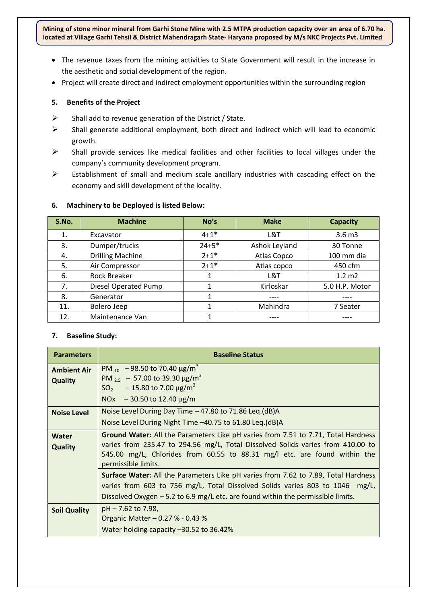- The revenue taxes from the mining activities to State Government will result in the increase in the aesthetic and social development of the region.
- Project will create direct and indirect employment opportunities within the surrounding region

#### **5. Benefits of the Project**

- $\triangleright$  Shall add to revenue generation of the District / State.
- $\triangleright$  Shall generate additional employment, both direct and indirect which will lead to economic growth.
- $\triangleright$  Shall provide services like medical facilities and other facilities to local villages under the company's community development program.
- $\triangleright$  Establishment of small and medium scale ancillary industries with cascading effect on the economy and skill development of the locality.

| S.No. | <b>Machine</b>          | No's      | <b>Make</b>   | <b>Capacity</b>   |
|-------|-------------------------|-----------|---------------|-------------------|
| 1.    | Excavator               | $4 + 1*$  | L&T           | 3.6 <sub>m3</sub> |
| 3.    | Dumper/trucks           | $24 + 5*$ | Ashok Leyland | 30 Tonne          |
| 4.    | <b>Drilling Machine</b> | $2 + 1*$  | Atlas Copco   | 100 mm dia        |
| 5.    | Air Compressor          | $2 + 1*$  | Atlas copco   | 450 cfm           |
| 6.    | <b>Rock Breaker</b>     | 1         | L&T           | $1.2 \, m2$       |
| 7.    | Diesel Operated Pump    | 1         | Kirloskar     | 5.0 H.P. Motor    |
| 8.    | Generator               | 1         |               |                   |
| 11.   | Bolero Jeep             | 1         | Mahindra      | 7 Seater          |
| 12.   | Maintenance Van         |           |               |                   |

#### **6. Machinery to be Deployed is listed Below:**

#### **7. Baseline Study:**

| <b>Parameters</b>                    | <b>Baseline Status</b>                                                                                                                                                                                                                                                   |
|--------------------------------------|--------------------------------------------------------------------------------------------------------------------------------------------------------------------------------------------------------------------------------------------------------------------------|
| <b>Ambient Air</b><br><b>Quality</b> | PM $_{10}$ – 98.50 to 70.40 $\mu$ g/m <sup>3</sup><br>PM $_{2.5}$ - 57.00 to 39.30 $\mu$ g/m <sup>3</sup><br>$SO_2$ - 15.80 to 7.00 $\mu$ g/m <sup>3</sup><br>NOx $-30.50$ to 12.40 $\mu$ g/m                                                                            |
| <b>Noise Level</b>                   | Noise Level During Day Time $-47.80$ to 71.86 Leq.(dB)A<br>Noise Level During Night Time -40.75 to 61.80 Leq. (dB)A                                                                                                                                                      |
| Water<br><b>Quality</b>              | Ground Water: All the Parameters Like pH varies from 7.51 to 7.71, Total Hardness<br>varies from 235.47 to 294.56 mg/L, Total Dissolved Solids varies from 410.00 to<br>545.00 mg/L, Chlorides from 60.55 to 88.31 mg/l etc. are found within the<br>permissible limits. |
|                                      | <b>Surface Water:</b> All the Parameters Like pH varies from 7.62 to 7.89, Total Hardness<br>varies from 603 to 756 mg/L, Total Dissolved Solids varies 803 to 1046 mg/L,<br>Dissolved Oxygen - 5.2 to 6.9 mg/L etc. are found within the permissible limits.            |
| <b>Soil Quality</b>                  | pH – 7.62 to 7.98,<br>Organic Matter - 0.27 % - 0.43 %<br>Water holding capacity -30.52 to 36.42%                                                                                                                                                                        |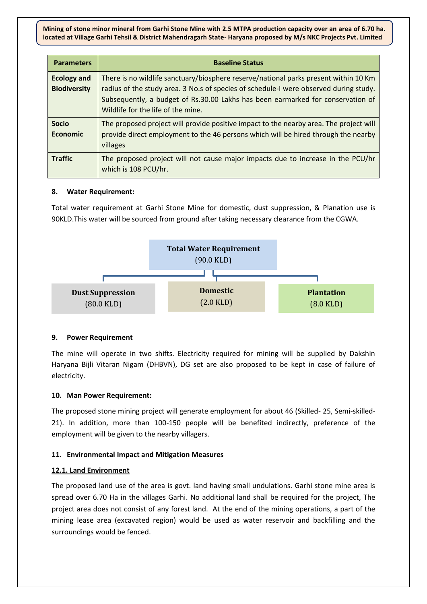| <b>Parameters</b>                         | <b>Baseline Status</b>                                                                                                                                                                                                                                                                                 |
|-------------------------------------------|--------------------------------------------------------------------------------------------------------------------------------------------------------------------------------------------------------------------------------------------------------------------------------------------------------|
| <b>Ecology and</b><br><b>Biodiversity</b> | There is no wildlife sanctuary/biosphere reserve/national parks present within 10 Km<br>radius of the study area. 3 No.s of species of schedule-I were observed during study.<br>Subsequently, a budget of Rs.30.00 Lakhs has been earmarked for conservation of<br>Wildlife for the life of the mine. |
| <b>Socio</b><br><b>Economic</b>           | The proposed project will provide positive impact to the nearby area. The project will<br>provide direct employment to the 46 persons which will be hired through the nearby<br>villages                                                                                                               |
| <b>Traffic</b>                            | The proposed project will not cause major impacts due to increase in the PCU/hr<br>which is 108 PCU/hr.                                                                                                                                                                                                |

#### **8. Water Requirement:**

Total water requirement at Garhi Stone Mine for domestic, dust suppression, & Planation use is 90KLD.This water will be sourced from ground after taking necessary clearance from the CGWA.



#### **9. Power Requirement**

The mine will operate in two shifts. Electricity required for mining will be supplied by Dakshin Haryana Bijli Vitaran Nigam (DHBVN), DG set are also proposed to be kept in case of failure of electricity.

#### **10. Man Power Requirement:**

The proposed stone mining project will generate employment for about 46 (Skilled- 25, Semi-skilled-21). In addition, more than 100-150 people will be benefited indirectly, preference of the employment will be given to the nearby villagers.

#### **11. Environmental Impact and Mitigation Measures**

#### **12.1. Land Environment**

The proposed land use of the area is govt. land having small undulations. Garhi stone mine area is spread over 6.70 Ha in the villages Garhi. No additional land shall be required for the project, The project area does not consist of any forest land. At the end of the mining operations, a part of the mining lease area (excavated region) would be used as water reservoir and backfilling and the surroundings would be fenced.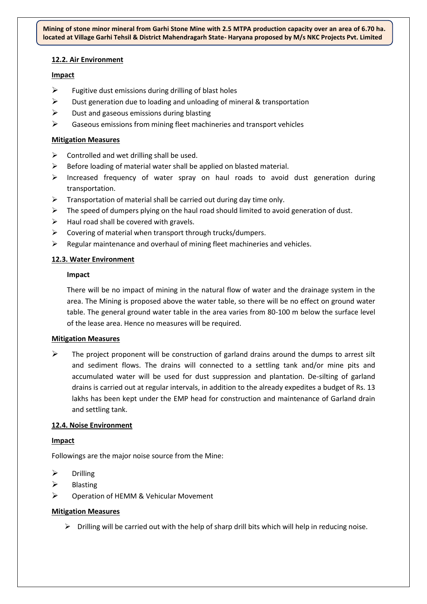#### **12.2. Air Environment**

#### **Impact**

- $\triangleright$  Fugitive dust emissions during drilling of blast holes
- $\triangleright$  Dust generation due to loading and unloading of mineral & transportation
- $\triangleright$  Dust and gaseous emissions during blasting
- $\triangleright$  Gaseous emissions from mining fleet machineries and transport vehicles

#### **Mitigation Measures**

- $\triangleright$  Controlled and wet drilling shall be used.
- $\triangleright$  Before loading of material water shall be applied on blasted material.
- $\triangleright$  Increased frequency of water spray on haul roads to avoid dust generation during transportation.
- $\triangleright$  Transportation of material shall be carried out during day time only.
- $\triangleright$  The speed of dumpers plying on the haul road should limited to avoid generation of dust.
- $\triangleright$  Haul road shall be covered with gravels.
- $\triangleright$  Covering of material when transport through trucks/dumpers.
- $\triangleright$  Regular maintenance and overhaul of mining fleet machineries and vehicles.

#### **12.3. Water Environment**

#### **Impact**

There will be no impact of mining in the natural flow of water and the drainage system in the area. The Mining is proposed above the water table, so there will be no effect on ground water table. The general ground water table in the area varies from 80-100 m below the surface level of the lease area. Hence no measures will be required.

#### **Mitigation Measures**

 $\triangleright$  The project proponent will be construction of garland drains around the dumps to arrest silt and sediment flows. The drains will connected to a settling tank and/or mine pits and accumulated water will be used for dust suppression and plantation. De-silting of garland drains is carried out at regular intervals, in addition to the already expedites a budget of Rs. 13 lakhs has been kept under the EMP head for construction and maintenance of Garland drain and settling tank.

#### **12.4. Noise Environment**

#### **Impact**

Followings are the major noise source from the Mine:

- $\triangleright$  Drilling
- $\triangleright$  Blasting
- Operation of HEMM & Vehicular Movement

#### **Mitigation Measures**

 $\triangleright$  Drilling will be carried out with the help of sharp drill bits which will help in reducing noise.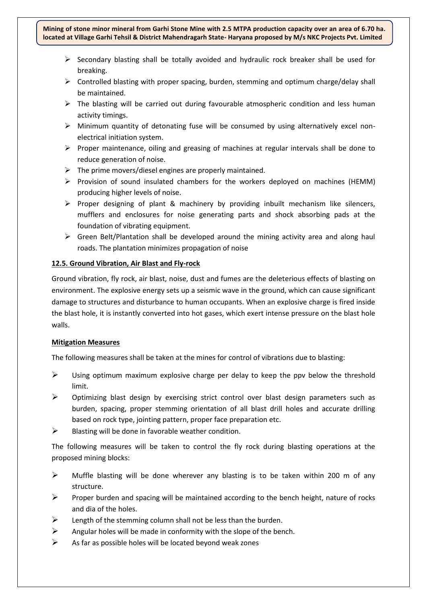- $\triangleright$  Secondary blasting shall be totally avoided and hydraulic rock breaker shall be used for breaking.
- $\triangleright$  Controlled blasting with proper spacing, burden, stemming and optimum charge/delay shall be maintained.
- $\triangleright$  The blasting will be carried out during favourable atmospheric condition and less human activity timings.
- $\triangleright$  Minimum quantity of detonating fuse will be consumed by using alternatively excel nonelectrical initiation system.
- $\triangleright$  Proper maintenance, oiling and greasing of machines at regular intervals shall be done to reduce generation of noise.
- $\triangleright$  The prime movers/diesel engines are properly maintained.
- $\triangleright$  Provision of sound insulated chambers for the workers deployed on machines (HEMM) producing higher levels of noise.
- $\triangleright$  Proper designing of plant & machinery by providing inbuilt mechanism like silencers, mufflers and enclosures for noise generating parts and shock absorbing pads at the foundation of vibrating equipment.
- $\triangleright$  Green Belt/Plantation shall be developed around the mining activity area and along haul roads. The plantation minimizes propagation of noise

#### **12.5. Ground Vibration, Air Blast and Fly-rock**

Ground vibration, fly rock, air blast, noise, dust and fumes are the deleterious effects of blasting on environment. The explosive energy sets up a seismic wave in the ground, which can cause significant damage to structures and disturbance to human occupants. When an explosive charge is fired inside the blast hole, it is instantly converted into hot gases, which exert intense pressure on the blast hole walls.

#### **Mitigation Measures**

The following measures shall be taken at the mines for control of vibrations due to blasting:

- $\triangleright$  Using optimum maximum explosive charge per delay to keep the ppv below the threshold limit.
- $\triangleright$  Optimizing blast design by exercising strict control over blast design parameters such as burden, spacing, proper stemming orientation of all blast drill holes and accurate drilling based on rock type, jointing pattern, proper face preparation etc.
- $\triangleright$  Blasting will be done in favorable weather condition.

The following measures will be taken to control the fly rock during blasting operations at the proposed mining blocks:

- $\triangleright$  Muffle blasting will be done wherever any blasting is to be taken within 200 m of any structure.
- **Proper burden and spacing will be maintained according to the bench height, nature of rocks** and dia of the holes.
- Length of the stemming column shall not be less than the burden.
- $\triangleright$  Angular holes will be made in conformity with the slope of the bench.
- $\triangleright$  As far as possible holes will be located beyond weak zones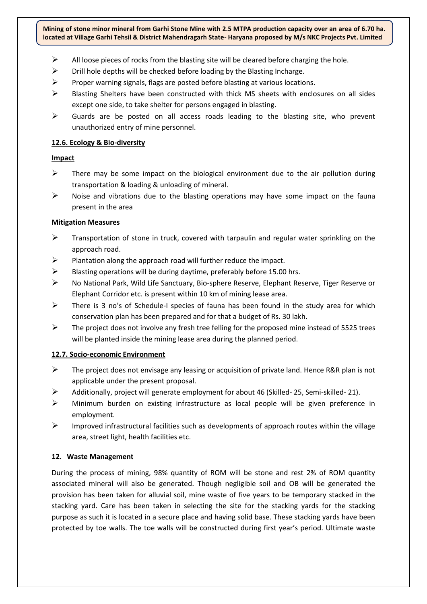- $\triangleright$  All loose pieces of rocks from the blasting site will be cleared before charging the hole.
- $\triangleright$  Drill hole depths will be checked before loading by the Blasting Incharge.
- $\triangleright$  Proper warning signals, flags are posted before blasting at various locations.
- $\triangleright$  Blasting Shelters have been constructed with thick MS sheets with enclosures on all sides except one side, to take shelter for persons engaged in blasting.
- $\triangleright$  Guards are be posted on all access roads leading to the blasting site, who prevent unauthorized entry of mine personnel.

#### **12.6. Ecology & Bio-diversity**

#### **Impact**

- $\triangleright$  There may be some impact on the biological environment due to the air pollution during transportation & loading & unloading of mineral.
- $\triangleright$  Noise and vibrations due to the blasting operations may have some impact on the fauna present in the area

#### **Mitigation Measures**

- $\triangleright$  Transportation of stone in truck, covered with tarpaulin and regular water sprinkling on the approach road.
- $\triangleright$  Plantation along the approach road will further reduce the impact.
- $\triangleright$  Blasting operations will be during daytime, preferably before 15.00 hrs.
- No National Park, Wild Life Sanctuary, Bio-sphere Reserve, Elephant Reserve, Tiger Reserve or Elephant Corridor etc. is present within 10 km of mining lease area.
- $\triangleright$  There is 3 no's of Schedule-I species of fauna has been found in the study area for which conservation plan has been prepared and for that a budget of Rs. 30 lakh.
- $\triangleright$  The project does not involve any fresh tree felling for the proposed mine instead of 5525 trees will be planted inside the mining lease area during the planned period.

#### **12.7. Socio-economic Environment**

- $\triangleright$  The project does not envisage any leasing or acquisition of private land. Hence R&R plan is not applicable under the present proposal.
- Additionally, project will generate employment for about 46 (Skilled- 25, Semi-skilled- 21).
- $\triangleright$  Minimum burden on existing infrastructure as local people will be given preference in employment.
- $\triangleright$  Improved infrastructural facilities such as developments of approach routes within the village area, street light, health facilities etc.

#### **12. Waste Management**

During the process of mining, 98% quantity of ROM will be stone and rest 2% of ROM quantity associated mineral will also be generated. Though negligible soil and OB will be generated the provision has been taken for alluvial soil, mine waste of five years to be temporary stacked in the stacking yard. Care has been taken in selecting the site for the stacking yards for the stacking purpose as such it is located in a secure place and having solid base. These stacking yards have been protected by toe walls. The toe walls will be constructed during first year's period. Ultimate waste